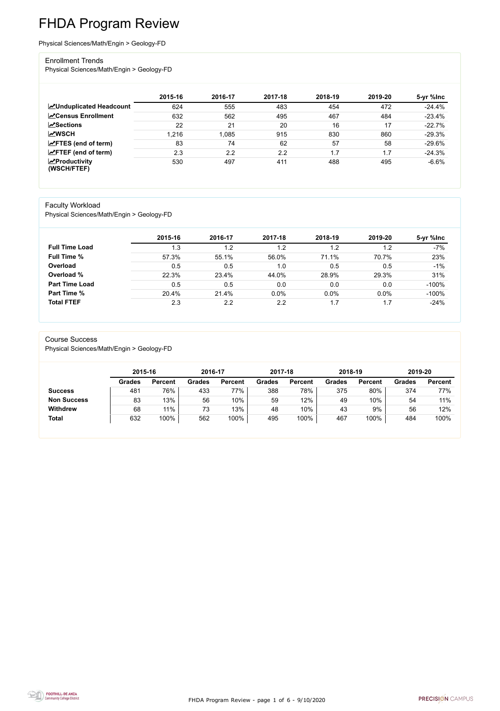FHDA Program Review - page 1 of 6 - 9/10/2020



# FHDA Program Review

Physical Sciences/Math/Engin > Geology-FD

#### Enrollment Trends

Physical Sciences/Math/Engin > Geology-FD

|                                          | 2015-16 | 2016-17 | 2017-18 | 2018-19 | 2019-20 | 5-yr %lnc |
|------------------------------------------|---------|---------|---------|---------|---------|-----------|
| <b>ZUnduplicated Headcount</b>           | 624     | 555     | 483     | 454     | 472     | $-24.4%$  |
| <b>∠</b> Census Enrollment               | 632     | 562     | 495     | 467     | 484     | $-23.4%$  |
| $\sqrt{\frac{8}{2}}$ Sections            | 22      | 21      | 20      | 16      | 17      | $-22.7%$  |
| <b>MWSCH</b>                             | 1,216   | 1,085   | 915     | 830     | 860     | $-29.3%$  |
| $\mathbf{Z}$ FTES (end of term)          | 83      | 74      | 62      | 57      | 58      | $-29.6%$  |
| $\angle$ FTEF (end of term)              | 2.3     | 2.2     | 2.2     | 1.7     | 1.7     | $-24.3%$  |
| $\mathbf{Z}$ Productivity<br>(WSCH/FTEF) | 530     | 497     | 411     | 488     | 495     | $-6.6%$   |

#### Faculty Workload

Physical Sciences/Math/Engin > Geology-FD

|                       | 2015-16 | 2016-17 | 2017-18 | 2018-19 | 2019-20 | 5-yr %lnc |
|-----------------------|---------|---------|---------|---------|---------|-----------|
| <b>Full Time Load</b> | 1.3     | 1.2     | 1.2     | 1.2     | 1.2     | $-7%$     |
| <b>Full Time %</b>    | 57.3%   | 55.1%   | 56.0%   | 71.1%   | 70.7%   | 23%       |
| Overload              | 0.5     | 0.5     | 1.0     | 0.5     | 0.5     | $-1%$     |
| Overload %            | 22.3%   | 23.4%   | 44.0%   | 28.9%   | 29.3%   | 31%       |
| <b>Part Time Load</b> | 0.5     | 0.5     | 0.0     | 0.0     | 0.0     | $-100%$   |
| <b>Part Time %</b>    | 20.4%   | 21.4%   | 0.0%    | 0.0%    | $0.0\%$ | $-100%$   |
| <b>Total FTEF</b>     | 2.3     | 2.2     | 2.2     | 1.7     | 1.7     | $-24%$    |

#### Course Success

Physical Sciences/Math/Engin > Geology-FD

|                    | 2015-16       |                | 2016-17       |                | 2017-18       |                | 2018-19       |                | 2019-20       |                |
|--------------------|---------------|----------------|---------------|----------------|---------------|----------------|---------------|----------------|---------------|----------------|
|                    | <b>Grades</b> | <b>Percent</b> | <b>Grades</b> | <b>Percent</b> | <b>Grades</b> | <b>Percent</b> | <b>Grades</b> | <b>Percent</b> | <b>Grades</b> | <b>Percent</b> |
| <b>Success</b>     | 481           | 76%            | 433           | 77%            | 388           | 78%            | 375           | 80%            | 374           | 77%            |
| <b>Non Success</b> | 83            | 13%            | 56            | 10%            | 59            | 12%            | 49            | 10%            | 54            | 11%            |
| <b>Withdrew</b>    | 68            | 11%            | 73            | 13%            | 48            | 10%            | 43            | 9%             | 56            | 12%            |
| <b>Total</b>       | 632           | 100%           | 562           | 100%           | 495           | 100%           | 467           | 100%           | 484           | 100%           |

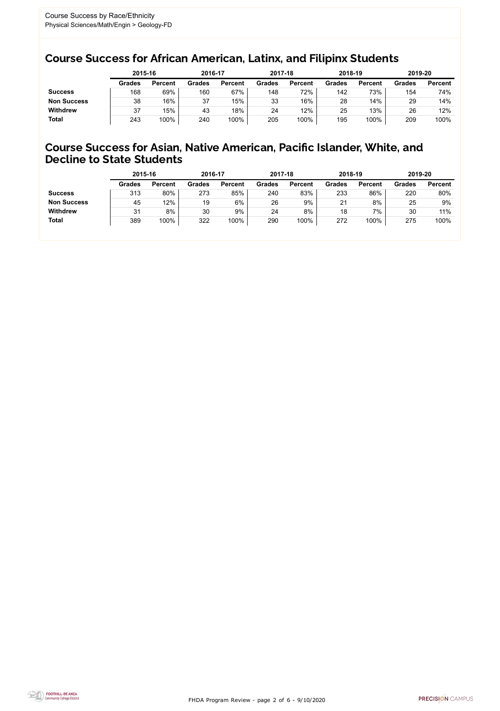FHDA Program Review - page 2 of 6 - 9/10/2020



### Course Success for African American, Latinx, and Filipinx Students

### Course Success for Asian, Native American, Pacific Islander, White, and Decline to State Students

|                    | 2015-16       |                | 2016-17       |                | 2017-18       |                | 2018-19       |                | 2019-20       |                |
|--------------------|---------------|----------------|---------------|----------------|---------------|----------------|---------------|----------------|---------------|----------------|
|                    | <b>Grades</b> | <b>Percent</b> | <b>Grades</b> | <b>Percent</b> | <b>Grades</b> | <b>Percent</b> | <b>Grades</b> | <b>Percent</b> | <b>Grades</b> | <b>Percent</b> |
| <b>Success</b>     | 168           | 69%            | 160           | 67%            | 148           | 72%            | 142           | 73%            | 154           | 74%            |
| <b>Non Success</b> | 38            | 16%            | 37            | 15%            | 33            | 16%            | 28            | 14%            | 29            | 14%            |
| <b>Withdrew</b>    | 37            | 15%            | 43            | 18%            | 24            | 12%            | 25            | 13%            | 26            | 12%            |
| <b>Total</b>       | 243           | 100%           | 240           | 100%           | 205           | 100%           | 195           | 100%           | 209           | 100%           |

|                    | 2015-16       |                | 2016-17       |                | 2017-18       |                | 2018-19       |                | 2019-20       |                |
|--------------------|---------------|----------------|---------------|----------------|---------------|----------------|---------------|----------------|---------------|----------------|
|                    | <b>Grades</b> | <b>Percent</b> | <b>Grades</b> | <b>Percent</b> | <b>Grades</b> | <b>Percent</b> | <b>Grades</b> | <b>Percent</b> | <b>Grades</b> | <b>Percent</b> |
| <b>Success</b>     | 313           | 80%            | 273           | 85%            | 240           | 83%            | 233           | 86%            | 220           | 80%            |
| <b>Non Success</b> | 45            | 12%            | 19            | 6%             | 26            | 9%             | 21            | 8%             | 25            | 9%             |
| <b>Withdrew</b>    | 31            | 8%             | 30            | 9%             | 24            | 8%             | 18            | 7%             | 30            | 11%            |
| <b>Total</b>       | 389           | 100%           | 322           | 100%           | 290           | 100%           | 272           | 100%           | 275           | 100%           |
|                    |               |                |               |                |               |                |               |                |               |                |

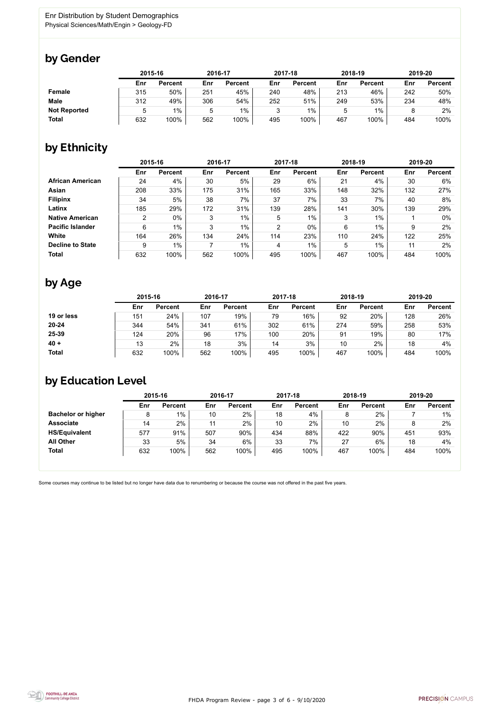

Some courses may continue to be listed but no longer have data due to renumbering or because the course was not offered in the past five years.



## by Gender

|                     |     | 2015-16        |     | 2016-17        |     | 2017-18        | 2018-19 |                | 2019-20 |                |
|---------------------|-----|----------------|-----|----------------|-----|----------------|---------|----------------|---------|----------------|
|                     | Enr | <b>Percent</b> | Enr | <b>Percent</b> | Enr | <b>Percent</b> | Enr     | <b>Percent</b> | Enr     | <b>Percent</b> |
| <b>Female</b>       | 315 | 50%            | 251 | 45%            | 240 | 48%            | 213     | 46%            | 242     | 50%            |
| <b>Male</b>         | 312 | 49%            | 306 | 54%            | 252 | 51%            | 249     | 53%            | 234     | 48%            |
| <b>Not Reported</b> | 5   | $1\%$          | 5   | 1%             | ર   | 1%             | ხ       | $1\%$          |         | 2%             |
| <b>Total</b>        | 632 | 100%           | 562 | 100%           | 495 | 100%           | 467     | 100%           | 484     | 100%           |

## by Ethnicity

|                         |     | 2015-16        |     | 2016-17        |                | 2017-18        |     | 2018-19        |     | 2019-20        |
|-------------------------|-----|----------------|-----|----------------|----------------|----------------|-----|----------------|-----|----------------|
|                         | Enr | <b>Percent</b> | Enr | <b>Percent</b> | Enr            | <b>Percent</b> | Enr | <b>Percent</b> | Enr | <b>Percent</b> |
| <b>African American</b> | 24  | 4%             | 30  | 5%             | 29             | 6%             | 21  | 4%             | 30  | 6%             |
| <b>Asian</b>            | 208 | 33%            | 175 | 31%            | 165            | 33%            | 148 | 32%            | 132 | 27%            |
| <b>Filipinx</b>         | 34  | 5%             | 38  | 7%             | 37             | 7%             | 33  | 7%             | 40  | 8%             |
| Latinx                  | 185 | 29%            | 172 | 31%            | 139            | 28%            | 141 | 30%            | 139 | 29%            |
| <b>Native American</b>  | 2   | $0\%$          | 3   | $1\%$          | 5              | $1\%$          | 3   | $1\%$          |     | $0\%$          |
| <b>Pacific Islander</b> | 6   | $1\%$          | 3   | $1\%$          | $\overline{2}$ | $0\%$          | 6   | $1\%$          | 9   | 2%             |
| White                   | 164 | 26%            | 134 | 24%            | 114            | 23%            | 110 | 24%            | 122 | 25%            |
| <b>Decline to State</b> | 9   | $1\%$          |     | $1\%$          | 4              | $1\%$          | 5   | $1\%$          | 11  | 2%             |
| <b>Total</b>            | 632 | 100%           | 562 | 100%           | 495            | 100%           | 467 | 100%           | 484 | 100%           |

## by Age

|              | 2015-16 |                |     | 2016-17        |     | 2017-18        | 2018-19 |                | 2019-20 |                |
|--------------|---------|----------------|-----|----------------|-----|----------------|---------|----------------|---------|----------------|
|              | Enr     | <b>Percent</b> | Enr | <b>Percent</b> | Enr | <b>Percent</b> | Enr     | <b>Percent</b> | Enr     | <b>Percent</b> |
| 19 or less   | 151     | 24%            | 107 | 19%            | 79  | 16%            | 92      | 20%            | 128     | 26%            |
| $20 - 24$    | 344     | 54%            | 341 | 61%            | 302 | 61%            | 274     | 59%            | 258     | 53%            |
| 25-39        | 124     | 20%            | 96  | 17%            | 100 | 20%            | 91      | 19%            | 80      | 17%            |
| $40 +$       | 13      | 2%             | 18  | 3%             | 14  | 3%             | 10      | 2%             | 18      | 4%             |
| <b>Total</b> | 632     | 100%           | 562 | 100%           | 495 | 100%           | 467     | 100%           | 484     | 100%           |

# by Education Level

|                           | 2015-16 |                |     | 2016-17        |     | 2017-18        |     | 2018-19        | 2019-20 |                |
|---------------------------|---------|----------------|-----|----------------|-----|----------------|-----|----------------|---------|----------------|
|                           | Enr     | <b>Percent</b> | Enr | <b>Percent</b> | Enr | <b>Percent</b> | Enr | <b>Percent</b> | Enr     | <b>Percent</b> |
| <b>Bachelor or higher</b> | 8       | $1\%$          | 10  | 2%             | 18  | 4%             |     | 2%             |         | $1\%$          |
| <b>Associate</b>          | 14      | 2%             | 11  | 2%             | 10  | 2%             | 10  | 2%             |         | 2%             |
| <b>HS/Equivalent</b>      | 577     | 91%            | 507 | 90%            | 434 | 88%            | 422 | 90%            | 451     | 93%            |
| <b>All Other</b>          | 33      | 5%             | 34  | 6%             | 33  | 7%             | 27  | 6%             | 18      | 4%             |
| <b>Total</b>              | 632     | 100%           | 562 | 100%           | 495 | 100%           | 467 | 100%           | 484     | 100%           |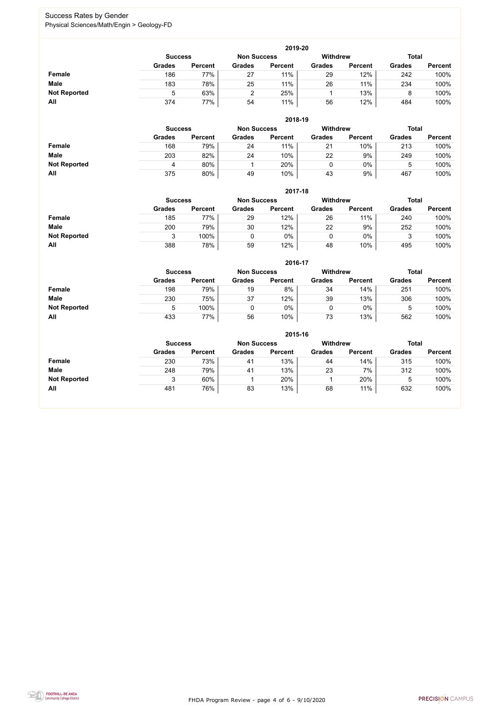FHDA Program Review - page 4 of 6 - 9/10/2020



### Success Rates by Gender Physical Sciences/Math/Engin > Geology-FD

|                     |               | 2019-20                                                                 |               |                |               |                |               |                |  |  |  |  |  |
|---------------------|---------------|-------------------------------------------------------------------------|---------------|----------------|---------------|----------------|---------------|----------------|--|--|--|--|--|
|                     |               | <b>Withdrew</b><br><b>Total</b><br><b>Non Success</b><br><b>Success</b> |               |                |               |                |               |                |  |  |  |  |  |
|                     | <b>Grades</b> | <b>Percent</b>                                                          | <b>Grades</b> | <b>Percent</b> | <b>Grades</b> | <b>Percent</b> | <b>Grades</b> | <b>Percent</b> |  |  |  |  |  |
| Female              | 186           | 77%                                                                     | 27            | 11%            | 29            | 12%            | 242           | 100%           |  |  |  |  |  |
| <b>Male</b>         | 183           | 78%                                                                     | 25            | 11%            | 26            | 11%            | 234           | 100%           |  |  |  |  |  |
| <b>Not Reported</b> | 5             | 63%                                                                     | ົ             | 25%            |               | 13%            |               | 100%           |  |  |  |  |  |
| All                 | 374           | 77%                                                                     | 54            | 11%            | 56            | 12%            | 484           | 100%           |  |  |  |  |  |

|                     |               | 2018-19                              |               |                |               |                 |               |                |  |  |  |  |  |  |
|---------------------|---------------|--------------------------------------|---------------|----------------|---------------|-----------------|---------------|----------------|--|--|--|--|--|--|
|                     |               | <b>Non Success</b><br><b>Success</b> |               |                |               | <b>Withdrew</b> | <b>Total</b>  |                |  |  |  |  |  |  |
|                     | <b>Grades</b> | <b>Percent</b>                       | <b>Grades</b> | <b>Percent</b> | <b>Grades</b> | <b>Percent</b>  | <b>Grades</b> | <b>Percent</b> |  |  |  |  |  |  |
| <b>Female</b>       | 168           | 79%                                  | 24            | 11%            | 21            | 10%             | 213           | 100%           |  |  |  |  |  |  |
| <b>Male</b>         | 203           | 82%                                  | 24            | 10%            | 22            | 9%              | 249           | 100%           |  |  |  |  |  |  |
| <b>Not Reported</b> | 4             | 80%                                  |               | 20%            |               | $0\%$           |               | 100%           |  |  |  |  |  |  |
| All                 | 375           | 80%                                  | 49            | 10%            | 43            | 9%              | 467           | 100%           |  |  |  |  |  |  |

|                     |               | 2017-18                              |               |                |               |                |               |                |  |  |  |  |  |
|---------------------|---------------|--------------------------------------|---------------|----------------|---------------|----------------|---------------|----------------|--|--|--|--|--|
|                     |               | <b>Non Success</b><br><b>Success</b> |               |                |               |                |               | <b>Total</b>   |  |  |  |  |  |
|                     | <b>Grades</b> | <b>Percent</b>                       | <b>Grades</b> | <b>Percent</b> | <b>Grades</b> | <b>Percent</b> | <b>Grades</b> | <b>Percent</b> |  |  |  |  |  |
| Female              | 185           | 77%                                  | 29            | 12%            | 26            | 11%            | 240           | 100%           |  |  |  |  |  |
| <b>Male</b>         | 200           | 79%                                  | 30            | 12%            | 22            | 9%             | 252           | 100%           |  |  |  |  |  |
| <b>Not Reported</b> | ົ             | 100%                                 |               | $0\%$          |               | $0\%$          | 3             | 100%           |  |  |  |  |  |
| All                 | 388           | 78%                                  | 59            | 12%            | 48            | 10%            | 495           | 100%           |  |  |  |  |  |

|                     |               | 2016-17                              |               |                |                 |                |               |                |  |  |
|---------------------|---------------|--------------------------------------|---------------|----------------|-----------------|----------------|---------------|----------------|--|--|
|                     |               | <b>Non Success</b><br><b>Success</b> |               |                | <b>Withdrew</b> |                | <b>Total</b>  |                |  |  |
|                     | <b>Grades</b> | <b>Percent</b>                       | <b>Grades</b> | <b>Percent</b> | <b>Grades</b>   | <b>Percent</b> | <b>Grades</b> | <b>Percent</b> |  |  |
| Female              | 198           | 79%                                  | 19            | 8%             | 34              | 14%            | 251           | 100%           |  |  |
| <b>Male</b>         | 230           | 75%                                  | 37            | 12%            | 39              | 13%            | 306           | 100%           |  |  |
| <b>Not Reported</b> | 5             | 100%                                 |               | 0%             | 0               | 0%             | 5             | 100%           |  |  |
| All                 | 433           | 77%                                  | 56            | 10%            | 73              | 13%            | 562           | 100%           |  |  |

|                     |                | 2015-16        |                    |                |               |                |               |                |  |  |
|---------------------|----------------|----------------|--------------------|----------------|---------------|----------------|---------------|----------------|--|--|
|                     | <b>Success</b> |                | <b>Non Success</b> |                | Withdrew      |                | <b>Total</b>  |                |  |  |
|                     | <b>Grades</b>  | <b>Percent</b> | <b>Grades</b>      | <b>Percent</b> | <b>Grades</b> | <b>Percent</b> | <b>Grades</b> | <b>Percent</b> |  |  |
| Female              | 230            | 73%            | 41                 | 13%            | 44            | 14%            | 315           | 100%           |  |  |
| <b>Male</b>         | 248            | 79%            | 41                 | 13%            | 23            | $7\%$          | 312           | 100%           |  |  |
| <b>Not Reported</b> |                | 60%            |                    | 20%            |               | 20%            | 5             | 100%           |  |  |
| All                 | 481            | 76%            | 83                 | 13%            | 68            | 11%            | 632           | 100%           |  |  |

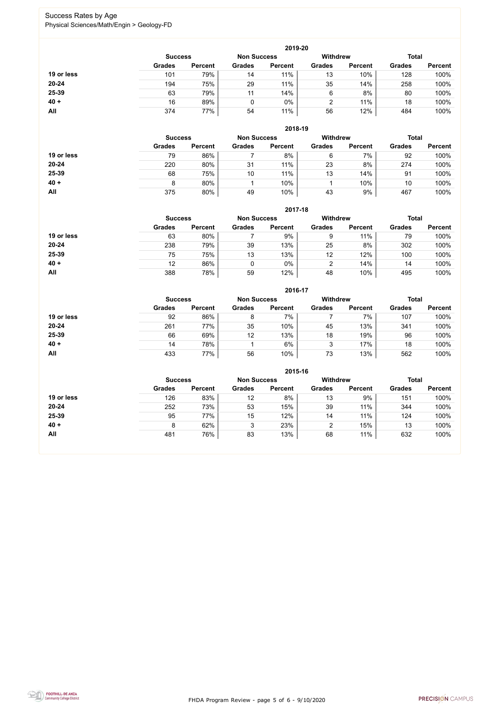FHDA Program Review - page 5 of 6 - 9/10/2020



### Success Rates by Age Physical Sciences/Math/Engin > Geology-FD

|            |                |                |                    | 2019-20        |                 |                |               |                |
|------------|----------------|----------------|--------------------|----------------|-----------------|----------------|---------------|----------------|
|            | <b>Success</b> |                | <b>Non Success</b> |                | <b>Withdrew</b> |                | <b>Total</b>  |                |
|            | <b>Grades</b>  | <b>Percent</b> | <b>Grades</b>      | <b>Percent</b> | <b>Grades</b>   | <b>Percent</b> | <b>Grades</b> | <b>Percent</b> |
| 19 or less | 101            | 79%            | 14                 | 11%            | 13              | 10%            | 128           | 100%           |
| $20 - 24$  | 194            | 75%            | 29                 | 11%            | 35              | 14%            | 258           | 100%           |
| 25-39      | 63             | 79%            | 11                 | 14%            | 6               | 8%             | 80            | 100%           |
| $40 +$     | 16             | 89%            |                    | $0\%$          |                 | 11%            | 18            | 100%           |
| All        | 374            | 77%            | 54                 | 11%            | 56              | 12%            | 484           | 100%           |

|            |                |                    |               | 2018-19         |               |                |               |                |
|------------|----------------|--------------------|---------------|-----------------|---------------|----------------|---------------|----------------|
|            | <b>Success</b> | <b>Non Success</b> |               | <b>Withdrew</b> |               | <b>Total</b>   |               |                |
|            | <b>Grades</b>  | <b>Percent</b>     | <b>Grades</b> | <b>Percent</b>  | <b>Grades</b> | <b>Percent</b> | <b>Grades</b> | <b>Percent</b> |
| 19 or less | 79             | 86%                |               | 8%              | 6             | 7%             | 92            | 100%           |
| $20 - 24$  | 220            | 80%                | 31            | 11%             | 23            | 8%             | 274           | 100%           |
| 25-39      | 68             | 75%                | 10            | 11%             | 13            | 14%            | 91            | 100%           |
| $40 +$     | 8              | 80%                |               | 10%             |               | 10%            | 10            | 100%           |
| All        | 375            | 80%                | 49            | 10%             | 43            | 9%             | 467           | 100%           |

|            | 2017-18                              |                |               |                |                 |                |               |                |  |
|------------|--------------------------------------|----------------|---------------|----------------|-----------------|----------------|---------------|----------------|--|
|            | <b>Non Success</b><br><b>Success</b> |                |               |                | <b>Withdrew</b> |                | <b>Total</b>  |                |  |
|            | <b>Grades</b>                        | <b>Percent</b> | <b>Grades</b> | <b>Percent</b> | <b>Grades</b>   | <b>Percent</b> | <b>Grades</b> | <b>Percent</b> |  |
| 19 or less | 63                                   | 80%            |               | 9%             | 9               | 11%            | 79            | 100%           |  |
| $20 - 24$  | 238                                  | 79%            | 39            | 13%            | 25              | 8%             | 302           | 100%           |  |
| 25-39      | 75                                   | 75%            | 13            | 13%            | 12              | 12%            | 100           | 100%           |  |
| $40 +$     | 12                                   | 86%            | 0             | 0%             | 2               | 14%            | 14            | 100%           |  |
| <b>All</b> | 388                                  | 78%            | 59            | 12%            | 48              | 10%            | 495           | 100%           |  |

|            |                |                    |               | 2016-17         |               |                |               |                |
|------------|----------------|--------------------|---------------|-----------------|---------------|----------------|---------------|----------------|
|            | <b>Success</b> | <b>Non Success</b> |               | <b>Withdrew</b> |               | <b>Total</b>   |               |                |
|            | <b>Grades</b>  | <b>Percent</b>     | <b>Grades</b> | <b>Percent</b>  | <b>Grades</b> | <b>Percent</b> | <b>Grades</b> | <b>Percent</b> |
| 19 or less | 92             | 86%                | 8             | 7%              |               | 7%             | 107           | 100%           |
| $20 - 24$  | 261            | 77%                | 35            | 10%             | 45            | 13%            | 341           | 100%           |
| 25-39      | 66             | 69%                | 12            | 13%             | 18            | 19%            | 96            | 100%           |
| $40 +$     | 14             | 78%                |               | 6%              | 3             | 17%            | 18            | 100%           |
| <b>All</b> | 433            | 77%                | 56            | 10%             | 73            | 13%            | 562           | 100%           |

|            |                                      |                |               | 2015-16        |                 |                |               |                |
|------------|--------------------------------------|----------------|---------------|----------------|-----------------|----------------|---------------|----------------|
|            | <b>Non Success</b><br><b>Success</b> |                |               |                | <b>Withdrew</b> |                | <b>Total</b>  |                |
|            | <b>Grades</b>                        | <b>Percent</b> | <b>Grades</b> | <b>Percent</b> | <b>Grades</b>   | <b>Percent</b> | <b>Grades</b> | <b>Percent</b> |
| 19 or less | 126                                  | 83%            | 12            | 8%             | 13              | 9%             | 151           | 100%           |
| $20 - 24$  | 252                                  | 73%            | 53            | 15%            | 39              | 11%            | 344           | 100%           |
| 25-39      | 95                                   | 77%            | 15            | 12%            | 14              | 11%            | 124           | 100%           |
| $40 +$     | 8                                    | 62%            | 3             | 23%            | 2               | 15%            | 13            | 100%           |
| All        | 481                                  | 76%            | 83            | 13%            | 68              | 11%            | 632           | 100%           |